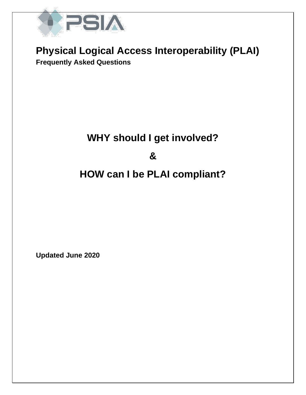

### **Physical Logical Access Interoperability (PLAI) Frequently Asked Questions**

# **WHY should I get involved?**

**&**

## **HOW can I be PLAI compliant?**

**Updated June 2020**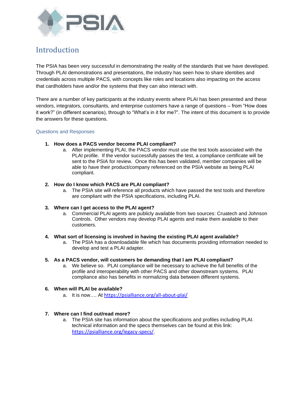

### Introduction

The PSIA has been very successful in demonstrating the reality of the standards that we have developed. Through PLAI demonstrations and presentations, the industry has seen how to share identities and credentials across multiple PACS, with concepts like roles and locations also impacting on the access that cardholders have and/or the systems that they can also interact with.

There are a number of key participants at the industry events where PLAI has been presented and these vendors, integrators, consultants, and enterprise customers have a range of questions – from "How does it work?" (in different scenarios), through to "What's in it for me?". The intent of this document is to provide the answers for these questions.

#### Questions and Responses

#### **1. How does a PACS vendor become PLAI compliant?**

a. After implementing PLAI, the PACS vendor must use the test tools associated with the PLAI profile. If the vendor successfully passes the test, a compliance certificate will be sent to the PSIA for review. Once this has been validated, member companies will be able to have their product/company referenced on the PSIA website as being PLAI compliant.

#### **2. How do I know which PACS are PLAI compliant?**

a. The PSIA site will reference all products which have passed the test tools and therefore are compliant with the PSIA specifications, including PLAI.

#### **3. Where can I get access to the PLAI agent?**

a. Commercial PLAI agents are publicly available from two sources: Cruatech and Johnson Controls. Other vendors may develop PLAI agents and make them available to their customers.

#### **4. What sort of licensing is involved in having the existing PLAI agent available?**

a. The PSIA has a downloadable file which has documents providing information needed to develop and test a PLAI adapter.

#### **5. As a PACS vendor, will customers be demanding that I am PLAI compliant?**

a. We believe so. PLAI compliance will be necessary to achieve the full benefits of the profile and interoperability with other PACS and other downstream systems. PLAI compliance also has benefits in normalizing data between different systems.

#### **6. When will PLAI be available?**

a. It is now…. At <https://psialliance.org/all-about-plai/>

#### **7. Where can I find out/read more?**

a. The PSIA site has information about the specifications and profiles including PLAI. technical information and the specs themselves can be found at this link: <https://psialliance.org/legacy-specs/>.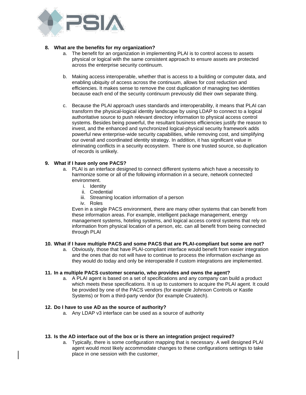

#### **8. What are the benefits for my organization?**

- a. The benefit for an organization in implementing PLAI is to control access to assets physical or logical with the same consistent approach to ensure assets are protected across the enterprise security continuum.
- b. Making access interoperable, whether that is access to a building or computer data, and enabling ubiquity of access across the continuum, allows for cost reduction and efficiencies. It makes sense to remove the cost duplication of managing two identities because each end of the security continuum previously did their own separate thing.
- c. Because the PLAI approach uses standards and interoperability, it means that PLAI can transform the physical-logical identity landscape by using LDAP to connect to a logical authoritative source to push relevant directory information to physical access control systems. Besides being powerful, the resultant business efficiencies justify the reason to invest, and the enhanced and synchronized logical-physical security framework adds powerful new enterprise-wide security capabilities, while removing cost, and simplifying our overall and coordinated identity strategy. In addition, it has significant value in eliminating conflicts in a security ecosystem. There is one trusted source, so duplication of records is unlikely.

#### **9. What if I have only one PACS?**

- a. PLAI is an interface designed to connect different systems which have a necessity to harmonize some or all of the following information in a secure, network connected environment.
	- i. Identity
	- ii. Credential
	- iii. Streaming location information of a person
	- iv. Roles

Even in a single PACS environment, there are many other systems that can benefit from these information areas. For example, intelligent package management, energy management systems, hoteling systems, and logical access control systems that rely on information from physical location of a person, etc. can all benefit from being connected through PLAI

#### **10. What if I have multiple PACS and some PACS that are PLAI-compliant but some are not?**

a. Obviously, those that have PLAI-compliant interface would benefit from easier integration and the ones that do not will have to continue to process the information exchange as they would do today and only be interoperable if custom integrations are implemented.

#### **11. In a multiple PACS customer scenario, who provides and owns the agent?**

a. A PLAI agent is based on a set of specifications and any company can build a product which meets these specifications. It is up to customers to acquire the PLAI agent. It could be provided by one of the PACS vendors (for example Johnson Controls or Kastle Systems) or from a third-party vendor (for example Cruatech).

#### **12. Do I have to use AD as the source of authority?**

a. Any LDAP v3 interface can be used as a source of authority

#### **13. Is the AD interface out of the box or is there an integration project required?**

a. Typically, there is some configuration mapping that is necessary. A well designed PLAI agent would most likely accommodate changes to these configurations settings to take place in one session with the customer.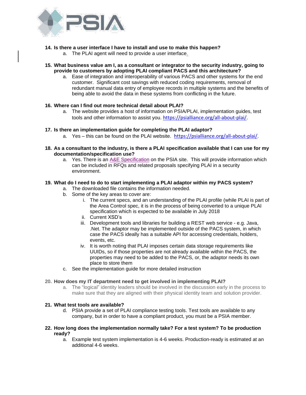

#### **14. Is there a user interface I have to install and use to make this happen?**

a. The PLAI agent will need to provide a user interface.

#### **15. What business value am I, as a consultant or integrator to the security industry, going to provide to customers by adopting PLAI compliant PACS and this architecture?**

a. Ease of integration and interoperability of various PACS and other systems for the end customer. Significant cost savings with reduced coding requirements, removal of redundant manual data entry of employee records in multiple systems and the benefits of being able to avoid the data in these systems from conflicting in the future.

#### **16. Where can I find out more technical detail about PLAI?**

a. The website provides a host of information on PSIA/PLAI, implementation guides, test tools and other information to assist you. <https://psialliance.org/all-about-plai/>.

#### **17. Is there an implementation guide for completing the PLAI adaptor?**

- a. Yes this can be found on the PLAI website. <https://psialliance.org/all-about-plai/>.
- **18. As a consultant to the industry, is there a PLAI specification available that I can use for my documentation/specification use?**
	- a. Yes. There is an [A&E Specification](https://psialliance.org/wp-content/uploads/2019/10/PLAI-RFQ-Language-Final-191009.pdf) on the PSIA site. This will provide information which can be included in RFQs and related proposals specifying PLAI in a security environment.

#### **19. What do I need to do to start implementing a PLAI adaptor within my PACS system?**

- a. The downloaded file contains the information needed.
- b. Some of the key areas to cover are:
	- i. The current specs, and an understanding of the PLAI profile (while PLAI is part of the Area Control spec, it is in the process of being converted to a unique PLAI specification which is expected to be available in July 2018
	- ii. Current XSD's
	- iii. Development tools and libraries for building a REST web service e.g. Java, .Net. The adaptor may be implemented outside of the PACS system, in which case the PACS ideally has a suitable API for accessing credentials, holders, events, etc.
	- iv. It is worth noting that PLAI imposes certain data storage requirements like UUIDs, so if those properties are not already available within the PACS, the properties may need to be added to the PACS, or, the adaptor needs its own place to store them
- c. See the implementation guide for more detailed instruction

#### **20. How does my IT department need to get involved in implementing PLAI?**

a. The "logical" identity leaders should be involved in the discussion early in the process to make sure that they are aligned with their physical identity team and solution provider.

#### **21. What test tools are available?**

d. PSIA provide a set of PLAI compliance testing tools. Test tools are available to any company, but in order to have a compliant product, you must be a PSIA member.

#### **22. How long does the implementation normally take? For a test system? To be production ready?**

a. Example test system implementation is 4-6 weeks. Production-ready is estimated at an additional 4-6 weeks.